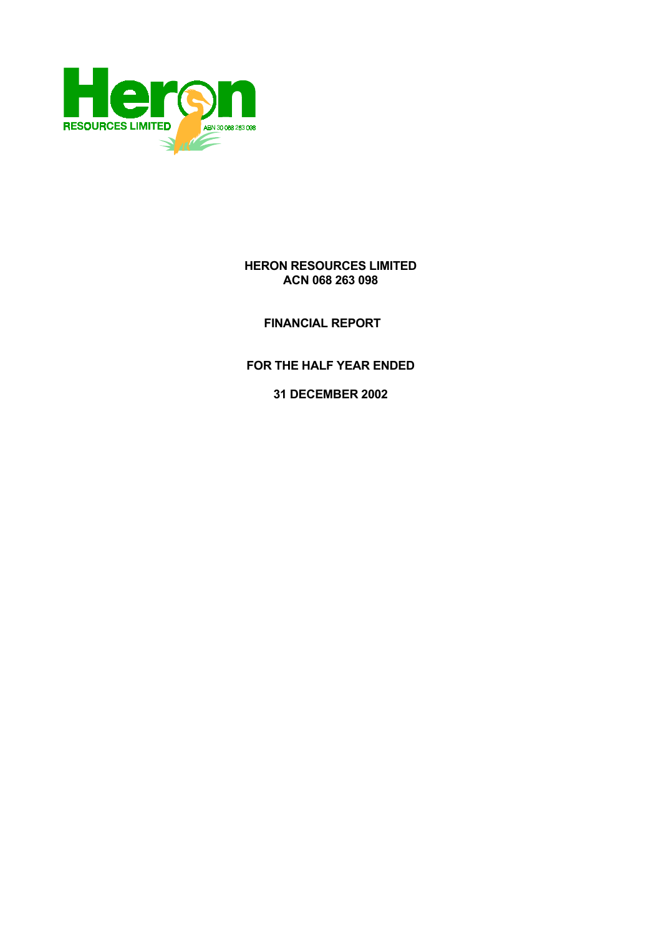

## **HERON RESOURCES LIMITED ACN 068 263 098**

 **FINANCIAL REPORT** 

**FOR THE HALF YEAR ENDED** 

**31 DECEMBER 2002**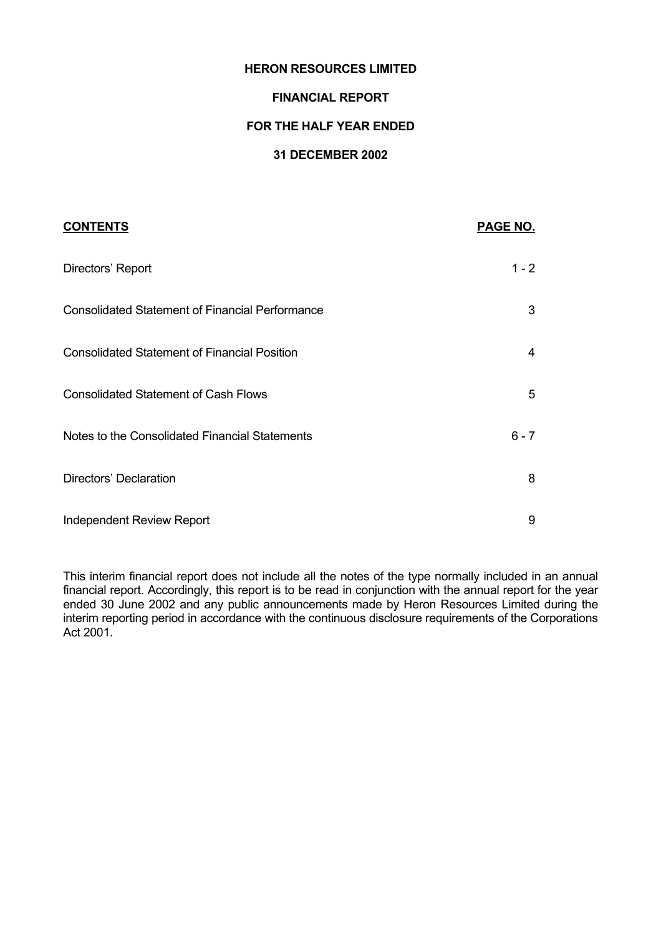### **HERON RESOURCES LIMITED**

### **FINANCIAL REPORT**

### **FOR THE HALF YEAR ENDED**

## **31 DECEMBER 2002**

| <b>CONTENTS</b>                                        | PAGE NO. |
|--------------------------------------------------------|----------|
| Directors' Report                                      | $1 - 2$  |
| <b>Consolidated Statement of Financial Performance</b> | 3        |
| <b>Consolidated Statement of Financial Position</b>    | 4        |
| <b>Consolidated Statement of Cash Flows</b>            | 5        |
| Notes to the Consolidated Financial Statements         | $6 - 7$  |
| Directors' Declaration                                 | 8        |
| Independent Review Report                              | 9        |

This interim financial report does not include all the notes of the type normally included in an annual financial report. Accordingly, this report is to be read in conjunction with the annual report for the year ended 30 June 2002 and any public announcements made by Heron Resources Limited during the interim reporting period in accordance with the continuous disclosure requirements of the Corporations Act 2001.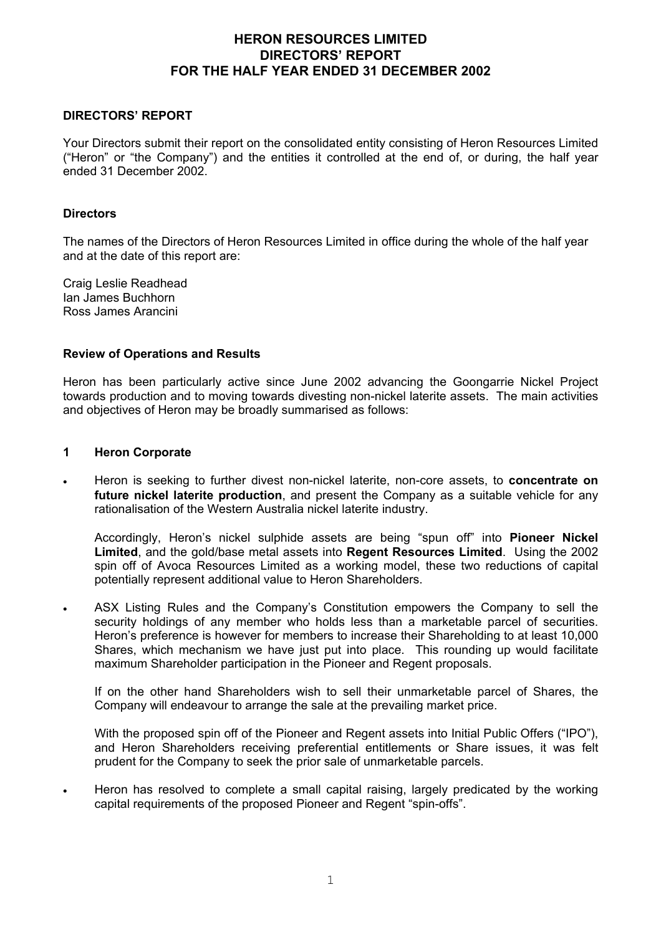## **HERON RESOURCES LIMITED DIRECTORS' REPORT FOR THE HALF YEAR ENDED 31 DECEMBER 2002**

### **DIRECTORS' REPORT**

Your Directors submit their report on the consolidated entity consisting of Heron Resources Limited ("Heron" or "the Company") and the entities it controlled at the end of, or during, the half year ended 31 December 2002.

#### **Directors**

The names of the Directors of Heron Resources Limited in office during the whole of the half year and at the date of this report are:

Craig Leslie Readhead Ian James Buchhorn Ross James Arancini

### **Review of Operations and Results**

Heron has been particularly active since June 2002 advancing the Goongarrie Nickel Project towards production and to moving towards divesting non-nickel laterite assets. The main activities and objectives of Heron may be broadly summarised as follows:

### **1 Heron Corporate**

• Heron is seeking to further divest non-nickel laterite, non-core assets, to **concentrate on future nickel laterite production**, and present the Company as a suitable vehicle for any rationalisation of the Western Australia nickel laterite industry.

Accordingly, Heron's nickel sulphide assets are being "spun off" into **Pioneer Nickel Limited**, and the gold/base metal assets into **Regent Resources Limited**. Using the 2002 spin off of Avoca Resources Limited as a working model, these two reductions of capital potentially represent additional value to Heron Shareholders.

• ASX Listing Rules and the Company's Constitution empowers the Company to sell the security holdings of any member who holds less than a marketable parcel of securities. Heron's preference is however for members to increase their Shareholding to at least 10,000 Shares, which mechanism we have just put into place. This rounding up would facilitate maximum Shareholder participation in the Pioneer and Regent proposals.

If on the other hand Shareholders wish to sell their unmarketable parcel of Shares, the Company will endeavour to arrange the sale at the prevailing market price.

With the proposed spin off of the Pioneer and Regent assets into Initial Public Offers ("IPO"), and Heron Shareholders receiving preferential entitlements or Share issues, it was felt prudent for the Company to seek the prior sale of unmarketable parcels.

• Heron has resolved to complete a small capital raising, largely predicated by the working capital requirements of the proposed Pioneer and Regent "spin-offs".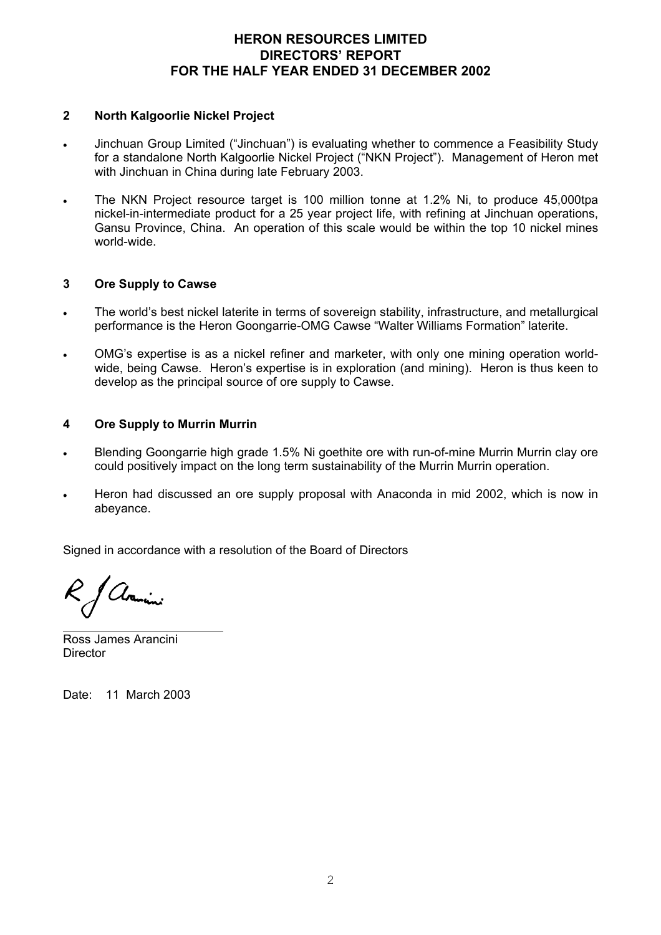## **HERON RESOURCES LIMITED DIRECTORS' REPORT FOR THE HALF YEAR ENDED 31 DECEMBER 2002**

### **2 North Kalgoorlie Nickel Project**

- Jinchuan Group Limited ("Jinchuan") is evaluating whether to commence a Feasibility Study for a standalone North Kalgoorlie Nickel Project ("NKN Project"). Management of Heron met with Jinchuan in China during late February 2003.
- The NKN Project resource target is 100 million tonne at 1.2% Ni, to produce 45,000tpa nickel-in-intermediate product for a 25 year project life, with refining at Jinchuan operations, Gansu Province, China. An operation of this scale would be within the top 10 nickel mines world-wide.

### **3 Ore Supply to Cawse**

- The world's best nickel laterite in terms of sovereign stability, infrastructure, and metallurgical performance is the Heron Goongarrie-OMG Cawse "Walter Williams Formation" laterite.
- OMG's expertise is as a nickel refiner and marketer, with only one mining operation worldwide, being Cawse. Heron's expertise is in exploration (and mining). Heron is thus keen to develop as the principal source of ore supply to Cawse.

### **4 Ore Supply to Murrin Murrin**

- Blending Goongarrie high grade 1.5% Ni goethite ore with run-of-mine Murrin Murrin clay ore could positively impact on the long term sustainability of the Murrin Murrin operation.
- Heron had discussed an ore supply proposal with Anaconda in mid 2002, which is now in abeyance.

Signed in accordance with a resolution of the Board of Directors

Avanini  $\overline{a}$ 

Ross James Arancini **Director** 

Date: 11 March 2003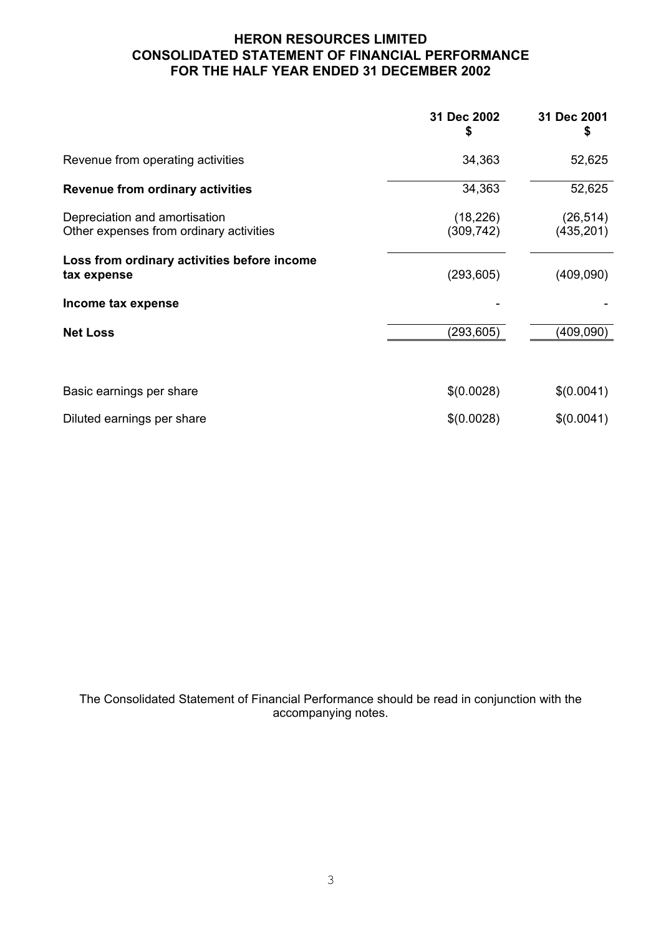# **HERON RESOURCES LIMITED CONSOLIDATED STATEMENT OF FINANCIAL PERFORMANCE FOR THE HALF YEAR ENDED 31 DECEMBER 2002**

|                                                                          | 31 Dec 2002             | 31 Dec 2001             |
|--------------------------------------------------------------------------|-------------------------|-------------------------|
| Revenue from operating activities                                        | 34,363                  | 52,625                  |
| <b>Revenue from ordinary activities</b>                                  | 34,363                  | 52,625                  |
| Depreciation and amortisation<br>Other expenses from ordinary activities | (18, 226)<br>(309, 742) | (26, 514)<br>(435, 201) |
| Loss from ordinary activities before income<br>tax expense               | (293, 605)              | (409,090)               |
| Income tax expense                                                       |                         |                         |
| <b>Net Loss</b>                                                          | (293, 605)              | (409,090)               |
| Basic earnings per share                                                 | \$(0.0028)              | \$(0.0041)              |
| Diluted earnings per share                                               | \$(0.0028)              | \$(0.0041)              |

The Consolidated Statement of Financial Performance should be read in conjunction with the accompanying notes.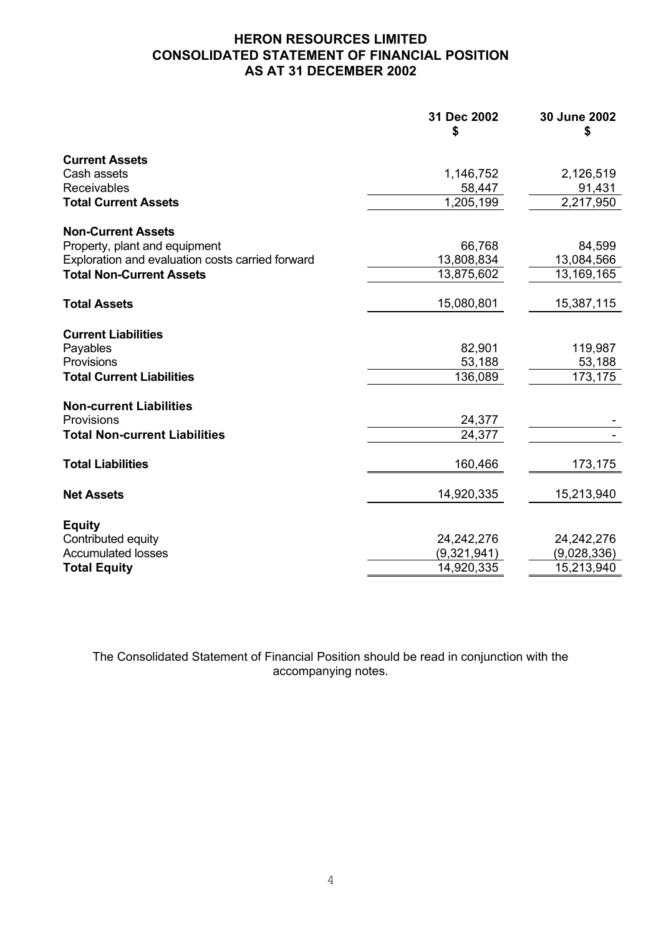# **HERON RESOURCES LIMITED CONSOLIDATED STATEMENT OF FINANCIAL POSITION AS AT 31 DECEMBER 2002**

|                                                  | 31 Dec 2002<br>\$ | 30 June 2002<br>\$ |
|--------------------------------------------------|-------------------|--------------------|
| <b>Current Assets</b>                            |                   |                    |
| Cash assets                                      | 1,146,752         | 2,126,519          |
| Receivables                                      | 58,447            | 91,431             |
| <b>Total Current Assets</b>                      | 1,205,199         | 2,217,950          |
| <b>Non-Current Assets</b>                        |                   |                    |
| Property, plant and equipment                    | 66,768            | 84,599             |
| Exploration and evaluation costs carried forward | 13,808,834        | 13,084,566         |
| <b>Total Non-Current Assets</b>                  | 13,875,602        | 13,169,165         |
| <b>Total Assets</b>                              | 15,080,801        | 15,387,115         |
| <b>Current Liabilities</b>                       |                   |                    |
| Payables                                         | 82,901            | 119,987            |
| Provisions                                       | 53,188            | 53,188             |
| <b>Total Current Liabilities</b>                 | 136,089           | 173,175            |
| <b>Non-current Liabilities</b>                   |                   |                    |
| Provisions                                       | 24,377            |                    |
| <b>Total Non-current Liabilities</b>             | 24,377            |                    |
| <b>Total Liabilities</b>                         | 160,466           | 173,175            |
| <b>Net Assets</b>                                | 14,920,335        | 15,213,940         |
|                                                  |                   |                    |
| <b>Equity</b><br>Contributed equity              | 24, 242, 276      | 24, 242, 276       |
| <b>Accumulated losses</b>                        | (9,321,941)       | (9,028,336)        |
| <b>Total Equity</b>                              | 14,920,335        | 15,213,940         |

The Consolidated Statement of Financial Position should be read in conjunction with the accompanying notes.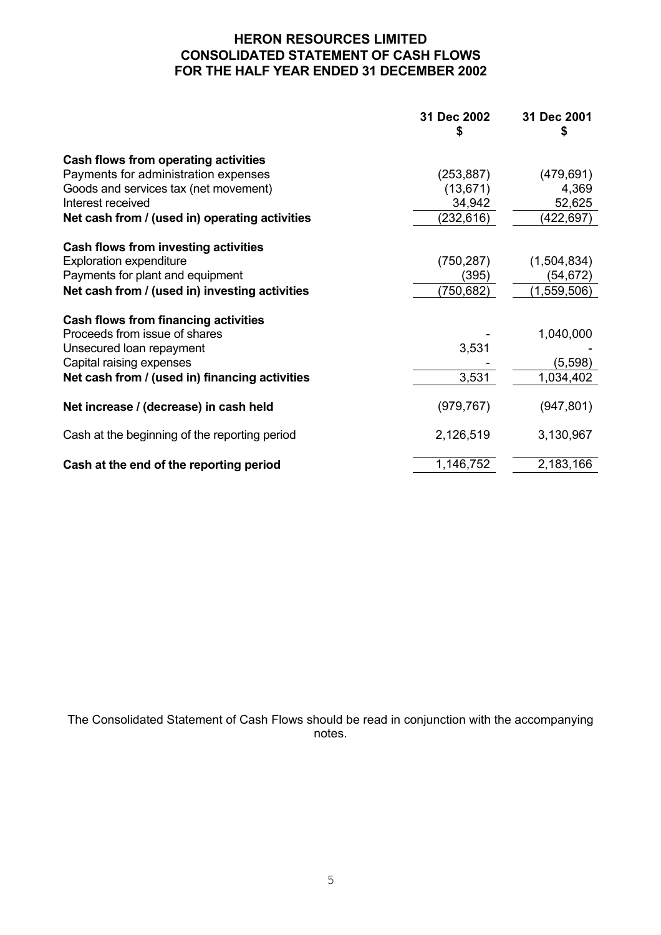# **HERON RESOURCES LIMITED CONSOLIDATED STATEMENT OF CASH FLOWS FOR THE HALF YEAR ENDED 31 DECEMBER 2002**

|                                                | 31 Dec 2002<br>S | 31 Dec 2001<br>S |
|------------------------------------------------|------------------|------------------|
| Cash flows from operating activities           |                  |                  |
| Payments for administration expenses           | (253, 887)       | (479, 691)       |
| Goods and services tax (net movement)          | (13, 671)        | 4,369            |
| Interest received                              | 34,942           | 52,625           |
| Net cash from / (used in) operating activities | (232,616)        | (422, 697)       |
| Cash flows from investing activities           |                  |                  |
| <b>Exploration expenditure</b>                 | (750, 287)       | (1,504,834)      |
| Payments for plant and equipment               | (395)            | (54, 672)        |
| Net cash from / (used in) investing activities | (750, 682)       | (1,559,506)      |
| Cash flows from financing activities           |                  |                  |
| Proceeds from issue of shares                  |                  | 1,040,000        |
| Unsecured loan repayment                       | 3,531            |                  |
| Capital raising expenses                       |                  | (5,598)          |
| Net cash from / (used in) financing activities | 3,531            | 1,034,402        |
| Net increase / (decrease) in cash held         | (979, 767)       | (947, 801)       |
| Cash at the beginning of the reporting period  | 2,126,519        | 3,130,967        |
| Cash at the end of the reporting period        | 1,146,752        | 2,183,166        |

The Consolidated Statement of Cash Flows should be read in conjunction with the accompanying notes.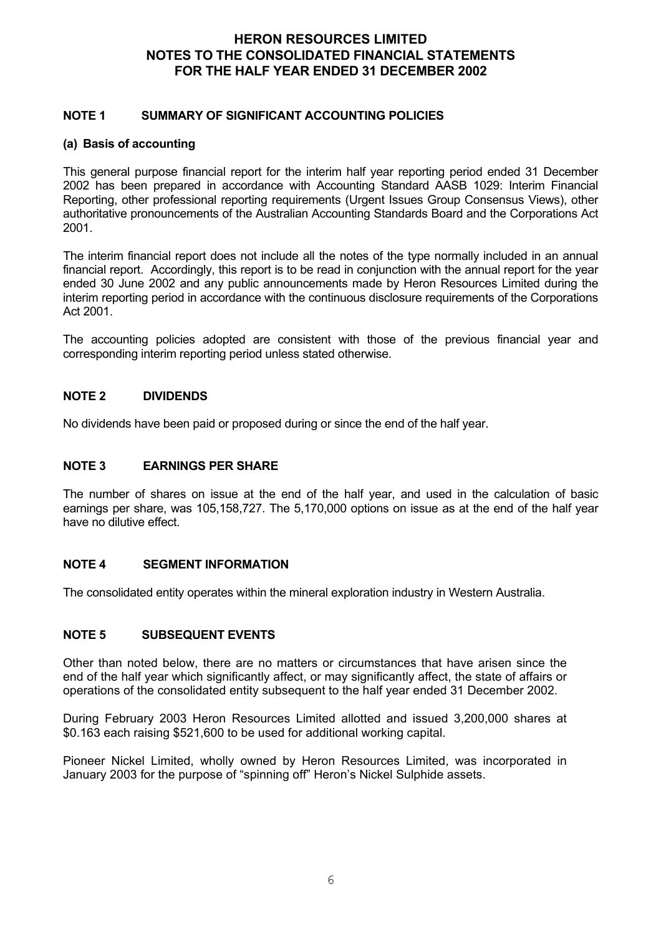## **HERON RESOURCES LIMITED NOTES TO THE CONSOLIDATED FINANCIAL STATEMENTS FOR THE HALF YEAR ENDED 31 DECEMBER 2002**

### **NOTE 1 SUMMARY OF SIGNIFICANT ACCOUNTING POLICIES**

### **(a) Basis of accounting**

This general purpose financial report for the interim half year reporting period ended 31 December 2002 has been prepared in accordance with Accounting Standard AASB 1029: Interim Financial Reporting, other professional reporting requirements (Urgent Issues Group Consensus Views), other authoritative pronouncements of the Australian Accounting Standards Board and the Corporations Act 2001.

The interim financial report does not include all the notes of the type normally included in an annual financial report. Accordingly, this report is to be read in conjunction with the annual report for the year ended 30 June 2002 and any public announcements made by Heron Resources Limited during the interim reporting period in accordance with the continuous disclosure requirements of the Corporations Act 2001.

The accounting policies adopted are consistent with those of the previous financial year and corresponding interim reporting period unless stated otherwise.

## **NOTE 2 DIVIDENDS**

No dividends have been paid or proposed during or since the end of the half year.

### **NOTE 3 EARNINGS PER SHARE**

The number of shares on issue at the end of the half year, and used in the calculation of basic earnings per share, was 105,158,727. The 5,170,000 options on issue as at the end of the half year have no dilutive effect.

### **NOTE 4 SEGMENT INFORMATION**

The consolidated entity operates within the mineral exploration industry in Western Australia.

### **NOTE 5 SUBSEQUENT EVENTS**

Other than noted below, there are no matters or circumstances that have arisen since the end of the half year which significantly affect, or may significantly affect, the state of affairs or operations of the consolidated entity subsequent to the half year ended 31 December 2002.

During February 2003 Heron Resources Limited allotted and issued 3,200,000 shares at \$0.163 each raising \$521,600 to be used for additional working capital.

Pioneer Nickel Limited, wholly owned by Heron Resources Limited, was incorporated in January 2003 for the purpose of "spinning off" Heron's Nickel Sulphide assets.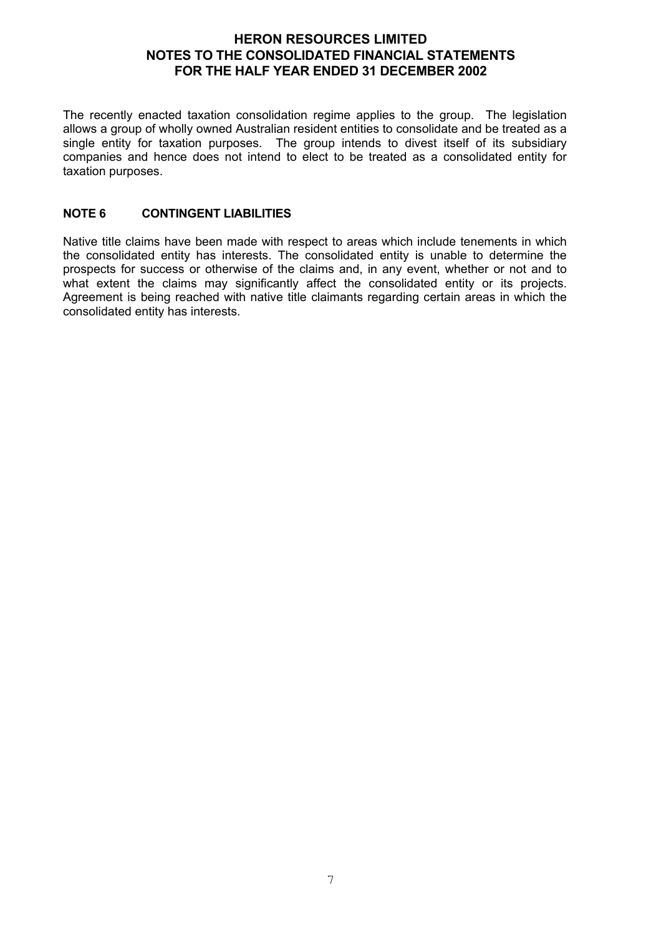## **HERON RESOURCES LIMITED NOTES TO THE CONSOLIDATED FINANCIAL STATEMENTS FOR THE HALF YEAR ENDED 31 DECEMBER 2002**

The recently enacted taxation consolidation regime applies to the group. The legislation allows a group of wholly owned Australian resident entities to consolidate and be treated as a single entity for taxation purposes. The group intends to divest itself of its subsidiary companies and hence does not intend to elect to be treated as a consolidated entity for taxation purposes.

## **NOTE 6 CONTINGENT LIABILITIES**

Native title claims have been made with respect to areas which include tenements in which the consolidated entity has interests. The consolidated entity is unable to determine the prospects for success or otherwise of the claims and, in any event, whether or not and to what extent the claims may significantly affect the consolidated entity or its projects. Agreement is being reached with native title claimants regarding certain areas in which the consolidated entity has interests.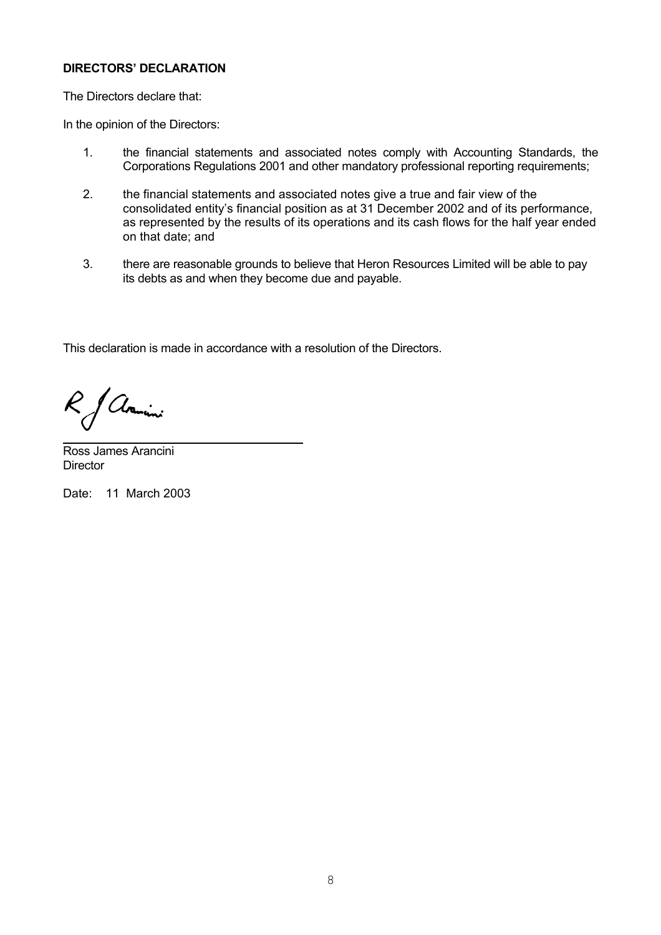## **DIRECTORS' DECLARATION**

The Directors declare that:

In the opinion of the Directors:

- 1. the financial statements and associated notes comply with Accounting Standards, the Corporations Regulations 2001 and other mandatory professional reporting requirements;
- 2. the financial statements and associated notes give a true and fair view of the consolidated entity's financial position as at 31 December 2002 and of its performance, as represented by the results of its operations and its cash flows for the half year ended on that date; and
- 3. there are reasonable grounds to believe that Heron Resources Limited will be able to pay its debts as and when they become due and payable.

This declaration is made in accordance with a resolution of the Directors.

& Avanini

Ross James Arancini **Director** 

Date: 11 March 2003